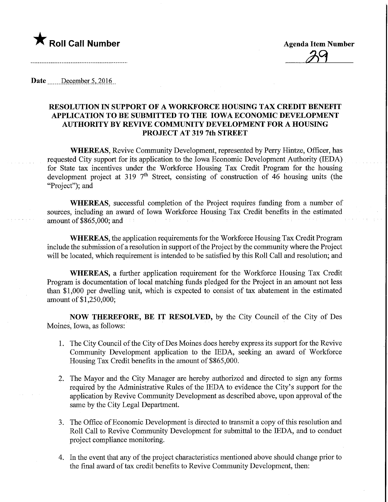

**Agenda Item Number** 

Date December 5, 2016

## RESOLUTION IN SUPPORT OF A WORKFORCE HOUSING TAX CREDIT BENEFIT APPLICATION TO BE SUBMITTED TO THE IOWA ECONOMIC DEVELOPMENT AUTHORITY BY REVIVE COMMUNITY DEVELOPMENT FOR A HOUSING PROJECT AT 319 7th STREET

WHEREAS, Revive Community Development, represented by Perry Hintze, Officer, has requested City support for its application to the Iowa Economic Development Authority (IEDA) for State tax incentives under the Workforce Housing Tax Credit Program for the housing development project at 319  $7<sup>th</sup>$  Street, consisting of construction of 46 housing units (the "Project"); and

WHEREAS, successful completion of the Project requires funding from a number of sources, including an award of Iowa Workforce Housing Tax Credit benefits in the estimated amount of \$865,000; and

WHEREAS, the application requirements for the Workforce Housing Tax Credit Program include the submission of a resolution in support of the Project by the community where the Project will be located, which requirement is intended to be satisfied by this Roll Call and resolution; and

WHEREAS, a further application requirement for the Workforce Housing Tax Credit Program is documentation of local matching funds pledged for the Project in an amount not less than \$1,000 per dwelling unit, which is expected to consist of tax abatement in the estimated amount of \$1,250,000;

NOW THEREFORE, BE IT RESOLVED, by the City Council of the City of Des Moines, Iowa, as follows:

- 1. The City Council of the City ofDes Moines does hereby express its support for the Revive Community Development application to the IEDA, seeking an award of Workforce Housing Tax Credit benefits in the amount of \$865,000.
- 2. The Mayor and the City Manager are hereby authorized and directed to sign any forms required by the Administrative Rules of the IEDA to evidence the City's support for the application by Revive Community Development as described above, upon approval of the same by the City Legal Department.
- 3. The Office of Economic Development is directed to transmit a copy of this resolution and Roll Call to Revive Community Development for submittal to the IEDA, and to conduct project compliance monitoring.
- 4. In the event that any of the project characteristics mentioned above should change prior to the final award of tax credit benefits to Revive Community Development, then: